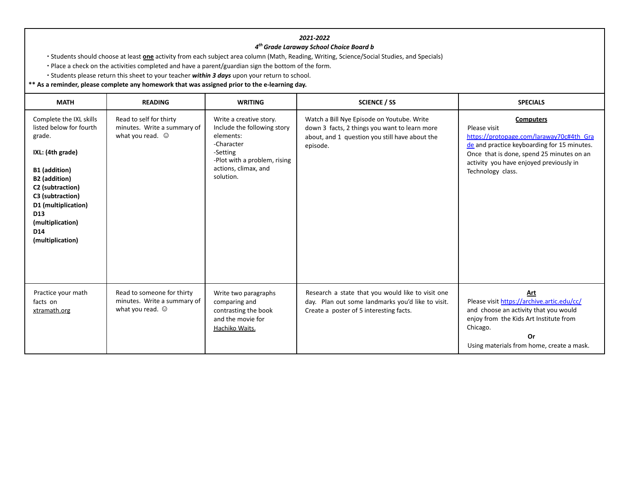## *2021-2022*

## *4 thGrade Laraway School Choice Board b*

∙ Students should choose at least **one** activity from each subject area column (Math, Reading, Writing, Science/Social Studies, and Specials)

∙ Place a check on the activities completed and have a parent/guardian sign the bottom of the form.

∙ Students please return this sheet to your teacher *within 3 days* upon your return to school.

## **\*\* As a reminder, please complete any homework that was assigned prior to the e-learning day.**

| <b>MATH</b>                                                                                                                                                                                                                                                | <b>READING</b>                                                                      | <b>WRITING</b>                                                                                                                                                     | <b>SCIENCE / SS</b>                                                                                                                                       | <b>SPECIALS</b>                                                                                                                                                                                                                          |
|------------------------------------------------------------------------------------------------------------------------------------------------------------------------------------------------------------------------------------------------------------|-------------------------------------------------------------------------------------|--------------------------------------------------------------------------------------------------------------------------------------------------------------------|-----------------------------------------------------------------------------------------------------------------------------------------------------------|------------------------------------------------------------------------------------------------------------------------------------------------------------------------------------------------------------------------------------------|
| Complete the IXL skills<br>listed below for fourth<br>grade.<br>IXL: (4th grade)<br>B1 (addition)<br><b>B2</b> (addition)<br>C2 (subtraction)<br>C3 (subtraction)<br>D1 (multiplication)<br>D <sub>13</sub><br>(multiplication)<br>D14<br>(multiplication) | Read to self for thirty<br>minutes. Write a summary of<br>what you read. $\odot$    | Write a creative story.<br>Include the following story<br>elements:<br>-Character<br>-Setting<br>-Plot with a problem, rising<br>actions, climax, and<br>solution. | Watch a Bill Nye Episode on Youtube. Write<br>down 3 facts, 2 things you want to learn more<br>about, and 1 question you still have about the<br>episode. | <b>Computers</b><br>Please visit<br>https://protopage.com/laraway70c#4th Gra<br>de and practice keyboarding for 15 minutes.<br>Once that is done, spend 25 minutes on an<br>activity you have enjoyed previously in<br>Technology class. |
| Practice your math<br>facts on<br>xtramath.org                                                                                                                                                                                                             | Read to someone for thirty<br>minutes. Write a summary of<br>what you read. $\odot$ | Write two paragraphs<br>comparing and<br>contrasting the book<br>and the movie for<br>Hachiko Waits.                                                               | Research a state that you would like to visit one<br>day. Plan out some landmarks you'd like to visit.<br>Create a poster of 5 interesting facts.         | Art<br>Please visit https://archive.artic.edu/cc/<br>and choose an activity that you would<br>enjoy from the Kids Art Institute from<br>Chicago.<br>Or<br>Using materials from home, create a mask.                                      |